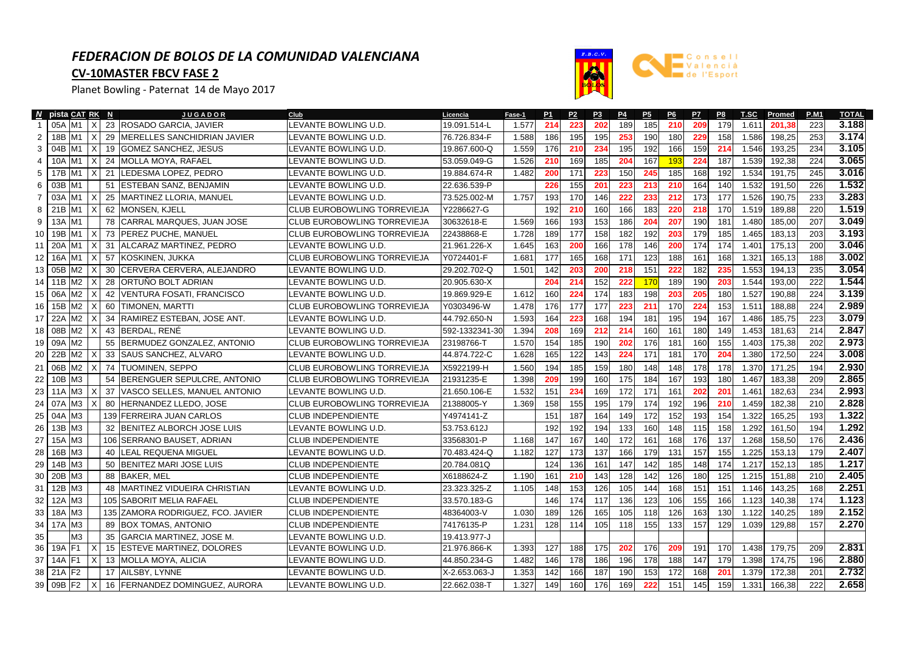## *FEDERACION DE BOLOS DE LA COMUNIDAD VALENCIANA*

## **CV-10MASTER FBCV FASE 2**

Planet Bowling - Paternat 14 de Mayo 2017



|    | N pista CAT RK N       |          | <b>JUGADOR</b>                    | Club                               | Licencia       | Fase-1 | P <sub>1</sub> | P <sub>2</sub> | P <sub>3</sub> | P4  | P <sub>5</sub> | P6  | P7  | P8  | T.SC  | Promed | <b>P.M1</b> | <b>TOTAL</b> |
|----|------------------------|----------|-----------------------------------|------------------------------------|----------------|--------|----------------|----------------|----------------|-----|----------------|-----|-----|-----|-------|--------|-------------|--------------|
| -1 | 05A M1                 | $\times$ | 23 ROSADO GARCIA, JAVIER          | LEVANTE BOWLING U.D.               | 19.091.514-L   | 1.577  | 214            | 223            | 202            | 189 | 185            | 210 | 209 | 179 | 1.611 | 201.38 | 223         | 3.188        |
| 2  | 18B<br>M1              | X        | 29 MERELLES SANCHIDRIAN JAVIER    | LEVANTE BOWLING U.D.               | 76.726.834-F   | 1.588  | 186            | 195            | 195            | 253 | 190            | 180 | 229 | 158 | 1.586 | 198,25 | 253         | 3.174        |
| 3  | 04B<br>M1              | X        | 19 GOMEZ SANCHEZ, JESUS           | LEVANTE BOWLING U.D.               | 19.867.600-Q   | 1.559  | 176            | 210            | 234            | 195 | 192            | 166 | 159 | 214 | 1.546 | 193,25 | 234         | 3.105        |
| 4  | 10A<br>M1              | X        | 24 IMOLLA MOYA, RAFAEL            | LEVANTE BOWLING U.D.               | 53.059.049-G   | 1.526  | 210            | 169            | 185            | 204 | 167            | 193 | 224 | 187 | 1.539 | 192,38 | 224         | 3.065        |
| 5  | 17B<br>M1              | x        | 21 LEDESMA LOPEZ, PEDRO           | LEVANTE BOWLING U.D.               | 19.884.674-R   | 1.482  | 200            | 171            | 223            | 150 | 245            | 185 | 168 | 192 | 1.534 | 191,75 | 245         | 3.016        |
| 6  | 03B<br>IM <sub>1</sub> |          | 51 ESTEBAN SANZ, BENJAMIN         | LEVANTE BOWLING U.D.               | 22.636.539-P   |        | 226            | 155            | 201            | 223 | 213            | 210 | 164 | 140 | 1.532 | 191,50 | 226         | 1.532        |
| 7  | 03A<br>M1              | X        | 25   MARTINEZ LLORIA, MANUEL      | LEVANTE BOWLING U.D.               | 73.525.002-M   | 1.757  | 193            | 170            | 146            | 222 | 233            | 212 | 173 | 177 | 1.526 | 190,75 | 233         | 3.283        |
| 8  | 21B<br>M1              | X        | 62 MONSEN, KJELL                  | <b>CLUB EUROBOWLING TORREVIEJA</b> | Y2286627-G     |        | 192            | 210            | 160            | 166 | 183            | 220 | 218 | 170 | 1.519 | 189,88 | 220         | 1.519        |
| 9  | 13A<br>M1              |          | 78 CARRAL MARQUES, JUAN JOSE      | CLUB EUROBOWLING TORREVIEJA        | 30632618-E     | 1.569  | 166            | 193            | 153            | 186 | 204            | 207 | 190 | 181 | 1.480 | 185,00 | 207         | 3.049        |
| 10 | 19B<br>M1              | x        | 73 PEREZ PUCHE, MANUEL            | CLUB EUROBOWLING TORREVIEJA        | 22438868-E     | 1.728  | 189            | 177            | 158            | 182 | 192            | 203 | 179 | 185 | 1.465 | 183,13 | 203         | 3.193        |
| 11 | 20A<br>M1              | X        | 31 ALCARAZ MARTINEZ, PEDRO        | LEVANTE BOWLING U.D.               | 21.961.226-X   | 1.645  | 163            | 200            | 166            | 178 | 146            | 200 | 174 | 174 | 1.401 | 175,13 | 200         | 3.046        |
| 12 | 16A<br>M1              | х        | 57 KOSKINEN, JUKKA                | CLUB EUROBOWLING TORREVIEJA        | Y0724401-F     | 1.681  | 177            | 165            | 168            | 171 | 123            | 188 | 161 | 168 | 1.321 | 165,13 | 188         | 3.002        |
| 13 | 05B<br>M2              | X        | 30 CERVERA CERVERA, ALEJANDRO     | LEVANTE BOWLING U.D.               | 29.202.702-Q   | 1.501  | 142            | 203            | 200            | 218 | 151            | 222 | 182 | 235 | 1.553 | 194.13 | 235         | 3.054        |
| 14 | M <sub>2</sub><br>11B  | x        | 28 ORTUÑO BOLT ADRIAN             | LEVANTE BOWLING U.D.               | 20.905.630-X   |        | 204            | 214            | 152            | 222 | 170            | 189 | 190 | 203 | 1.544 | 193.00 | 222         | 1.544        |
| 15 | M <sub>2</sub><br>06A  | X        | 42 VENTURA FOSATI, FRANCISCO      | LEVANTE BOWLING U.D.               | 19.869.929-E   | 1.612  | 160            | 224            | 174            | 183 | 198            | 203 | 205 | 180 | 1.527 | 190,88 | 224         | 3.139        |
| 16 | 15B<br>M <sub>2</sub>  | x        | 60 TIMONEN, MARTTI                | <b>CLUB EUROBOWLING TORREVIEJA</b> | Y0303496-W     | 1.478  | 176            | 177            | 177            | 223 | 211            | 170 | 224 | 153 | 1.511 | 188,88 | 224         | 2.989        |
| 17 | 22A<br>M2              |          | 34 RAMIREZ ESTEBAN, JOSE ANT.     | LEVANTE BOWLING U.D.               | 44.792.650-N   | 1.593  | 164            | 223            | 168            | 194 | 181            | 195 | 194 | 167 | 1.486 | 185,75 | 223         | 3.079        |
| 18 | M2<br>08B              | x        | 43 BERDAL, RENE                   | LEVANTE BOWLING U.D.               | 592-1332341-30 | 1.394  | 208            | 169            | 212            | 214 | 160            | 161 | 180 | 149 | 1.453 | 181,63 | 214         | 2.847        |
| 19 | 09A<br>M <sub>2</sub>  |          | 55 BERMUDEZ GONZALEZ, ANTONIO     | <b>CLUB EUROBOWLING TORREVIEJA</b> | 23198766-T     | 1.570  | 154            | 185            | 190            | 202 | 176            | 181 | 160 | 155 | 1.403 | 175,38 | 202         | 2.973        |
| 20 | 22B<br>M <sub>2</sub>  |          | 33 SAUS SANCHEZ, ALVARO           | LEVANTE BOWLING U.D.               | 44.874.722-C   | 1.628  | 165            | 122            | 143            | 224 | 171            | 181 | 170 | 204 | 1.380 | 172,50 | 224         | 3.008        |
| 21 | 06B<br>M2              | X        | 74 TUOMINEN, SEPPO                | CLUB EUROBOWLING TORREVIEJA        | X5922199-H     | 1.560  | 194            | 185            | 159            | 180 | 148            | 148 | 178 | 178 | 1.370 | 171,25 | 194         | 2.930        |
| 22 | 10B<br>M <sub>3</sub>  |          | 54 BERENGUER SEPULCRE, ANTONIO    | <b>CLUB EUROBOWLING TORREVIEJA</b> | 21931235-E     | 1.398  | 209            | 199            | 160            | 175 | 184            | 167 | 193 | 180 | 1.467 | 183,38 | 209         | 2.865        |
| 23 | M <sub>3</sub><br>11A  | х        | 37 VASCO SELLES, MANUEL ANTONIO   | LEVANTE BOWLING U.D.               | 21.650.106-E   | 1.532  | 151            | 234            | 169            | 172 | 171            | 161 | 202 | 201 | 1.461 | 182,63 | 234         | 2.993        |
| 24 | 07A<br>M <sub>3</sub>  |          | 80 HERNANDEZ LLEDO, JOSE          | <b>CLUB EUROBOWLING TORREVIEJA</b> | 21388005-Y     | 1.369  | 158            | 155            | 195            | 179 | 174            | 192 | 196 | 210 | 1.459 | 182,38 | 210         | 2.828        |
| 25 | M <sub>3</sub><br>04A  |          | 139 FERREIRA JUAN CARLOS          | <b>CLUB INDEPENDIENTE</b>          | Y4974141-Z     |        | 151            | 187            | 164            | 149 | 172            | 152 | 193 | 154 | 1.322 | 165,25 | 193         | 1.322        |
| 26 | M <sub>3</sub><br>13B  |          | 32 BENITEZ ALBORCH JOSE LUIS      | LEVANTE BOWLING U.D.               | 53.753.612J    |        | 192            | 192            | 194            | 133 | 160            | 148 | 115 | 158 | 1.292 | 161.50 | 194         | 1.292        |
| 27 | M <sub>3</sub><br>15A  |          | 106 SERRANO BAUSET, ADRIAN        | <b>CLUB INDEPENDIENTE</b>          | 33568301-P     | 1.168  | 147            | 167            | 140            | 172 | 161            | 168 | 176 | 137 | 1.268 | 158,50 | 176         | 2.436        |
| 28 | M <sub>3</sub><br>16B  |          | <b>40 ILEAL REQUENA MIGUEL</b>    | LEVANTE BOWLING U.D.               | 70.483.424-Q   | 1.182  | 127            | 173            | 137            | 166 | 179            | 131 | 157 | 155 | 1.225 | 153.13 | 179         | 2.407        |
| 29 | 14B<br>M <sub>3</sub>  |          | 50 BENITEZ MARI JOSE LUIS         | <b>CLUB INDEPENDIENTE</b>          | 20.784.081Q    |        | 124            | 136            | 161            | 147 | 142            | 185 | 148 | 174 | 1.217 | 152,13 | 185         | 1.217        |
| 30 | 20B<br>M <sub>3</sub>  |          | 88 BAKER, MEL                     | <b>CLUB INDEPENDIENTE</b>          | X6188624-Z     | 1.190  | 161            | 210            | 143            | 128 | 142            | 126 | 180 | 125 | 1.215 | 151,88 | 210         | 2.405        |
| 31 | 12B<br>M <sub>3</sub>  |          | 48 IMARTINEZ VIDUEIRA CHRISTIAN   | LEVANTE BOWLING U.D.               | 23.323.325-Z   | 1.105  | 148            | 153            | 126            | 105 | 144            | 168 | 151 | 151 | 1.146 | 143,25 | 168         | 2.251        |
| 32 | M <sub>3</sub><br>12A  |          | 105 SABORIT MELIA RAFAEL          | <b>CLUB INDEPENDIENTE</b>          | 33.570.183-G   |        | 146            | 174            | 117            | 136 | 123            | 106 | 155 | 166 | 1.123 | 140,38 | 174         | 1.123        |
| 33 | 18A<br>M <sub>3</sub>  |          | 135 ZAMORA RODRIGUEZ, FCO, JAVIER | <b>CLUB INDEPENDIENTE</b>          | 48364003-V     | 1.030  | 189            | 126            | 165            | 105 | 118            | 126 | 163 | 130 | 1.122 | 140,25 | 189         | 2.152        |
| 34 | 17A M3                 |          | 89 BOX TOMAS, ANTONIO             | <b>CLUB INDEPENDIENTE</b>          | 74176135-P     | 1.231  | 128            | 114            | 105            | 118 | 155            | 133 | 157 | 129 | 1.039 | 129,88 | 157         | 2.270        |
| 35 | MЗ                     |          | 35 GARCIA MARTINEZ, JOSE M.       | LEVANTE BOWLING U.D.               | 19.413.977-J   |        |                |                |                |     |                |     |     |     |       |        |             |              |
| 36 | 19A<br>IF1             |          | 15 ESTEVE MARTINEZ, DOLORES       | LEVANTE BOWLING U.D.               | 21.976.866-K   | 1.393  | 127            | 188            | 175            | 202 | 176            | 209 | 191 | 170 | 1.438 | 179,75 | 209         | 2.831        |
| 37 | 14A<br>IF <sub>1</sub> | Х        | 13 MOLLA MOYA, ALICIA             | LEVANTE BOWLING U.D.               | 44.850.234-G   | 1.482  | 146            | 178            | 186            | 196 | 178            | 188 | 147 | 179 | 1.398 | 174,75 | 196         | 2.880        |
| 38 | 21A F2                 |          | 17 AILSBY, LYNNE                  | LEVANTE BOWLING U.D.               | X-2.653.063-J  | 1.353  | 142            | 166            | 187            | 190 | 153            | 172 | 168 | 201 | 1.379 | 172,38 | 201         | 2.732        |
| 39 | 09B F2                 | X        | 16 FERNANDEZ DOMINGUEZ, AURORA    | LEVANTE BOWLING U.D.               | 22.662.038-T   | 1.327  | 149            | 160            | 176            | 169 | 222            | 151 | 145 | 159 | 1.331 | 166,38 | 222         | 2.658        |